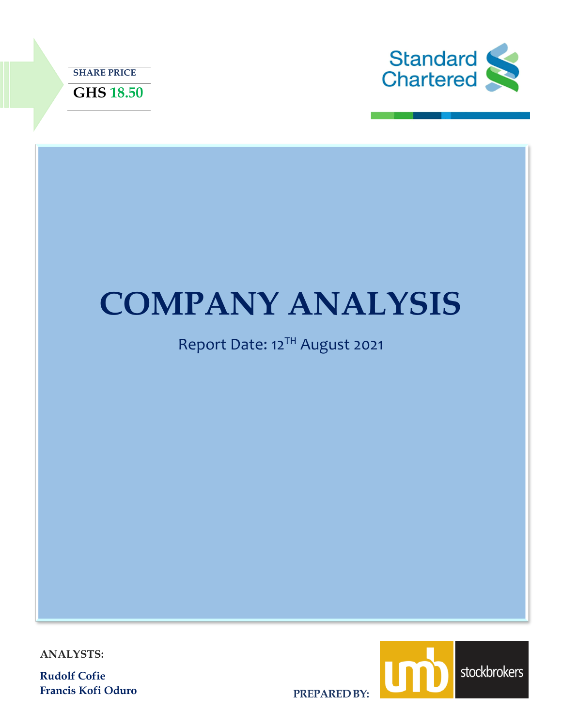



# **COMPANY ANALYSIS**

# Report Date: 12<sup>TH</sup> August 2021

**ANALYSTS:**

**Rudolf Cofie Francis Kofi Oduro**



**PREPARED BY:**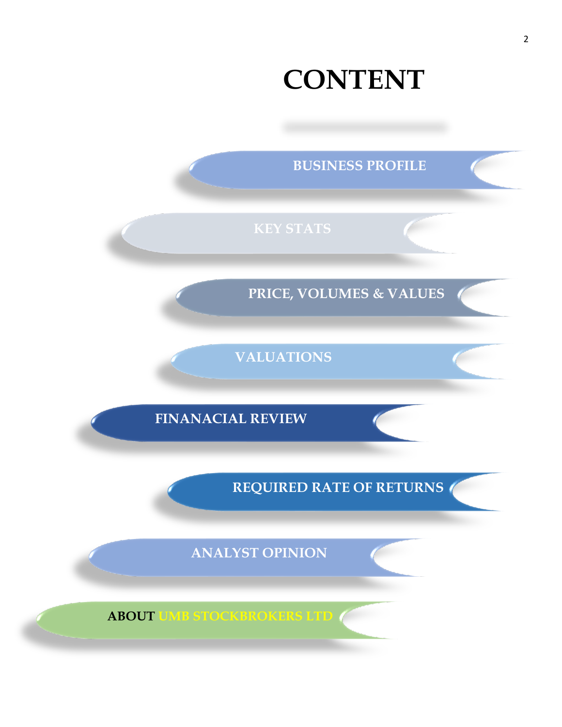# **CONTENT**

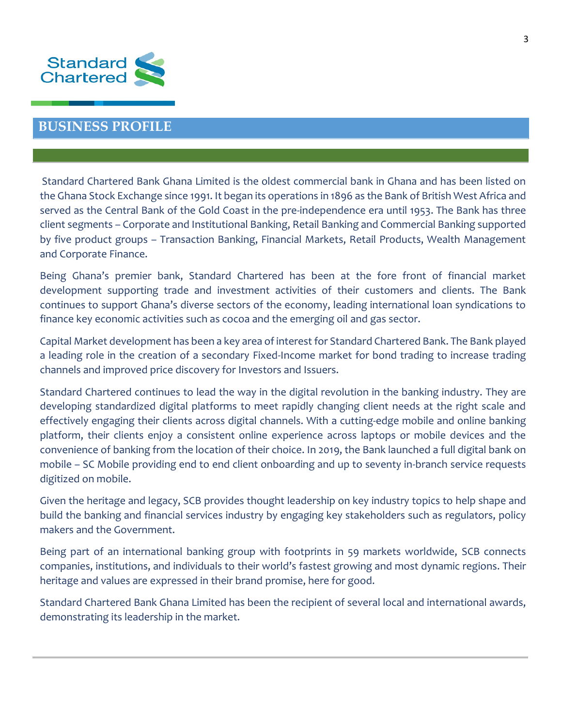

### **BUSINESS PROFILE**

Standard Chartered Bank Ghana Limited is the oldest commercial bank in Ghana and has been listed on the Ghana Stock Exchange since 1991. It began its operations in 1896 as the Bank of British West Africa and served as the Central Bank of the Gold Coast in the pre-independence era until 1953. The Bank has three client segments – Corporate and Institutional Banking, Retail Banking and Commercial Banking supported by five product groups – Transaction Banking, Financial Markets, Retail Products, Wealth Management and Corporate Finance.

Being Ghana's premier bank, Standard Chartered has been at the fore front of financial market development supporting trade and investment activities of their customers and clients. The Bank continues to support Ghana's diverse sectors of the economy, leading international loan syndications to finance key economic activities such as cocoa and the emerging oil and gas sector.

Capital Market development has been a key area of interest for Standard Chartered Bank. The Bank played a leading role in the creation of a secondary Fixed-Income market for bond trading to increase trading channels and improved price discovery for Investors and Issuers.

Standard Chartered continues to lead the way in the digital revolution in the banking industry. They are developing standardized digital platforms to meet rapidly changing client needs at the right scale and effectively engaging their clients across digital channels. With a cutting-edge mobile and online banking platform, their clients enjoy a consistent online experience across laptops or mobile devices and the convenience of banking from the location of their choice. In 2019, the Bank launched a full digital bank on mobile – SC Mobile providing end to end client onboarding and up to seventy in-branch service requests digitized on mobile.

Given the heritage and legacy, SCB provides thought leadership on key industry topics to help shape and build the banking and financial services industry by engaging key stakeholders such as regulators, policy makers and the Government.

Being part of an international banking group with footprints in 59 markets worldwide, SCB connects companies, institutions, and individuals to their world's fastest growing and most dynamic regions. Their heritage and values are expressed in their brand promise, here for good.

Standard Chartered Bank Ghana Limited has been the recipient of several local and international awards, demonstrating its leadership in the market.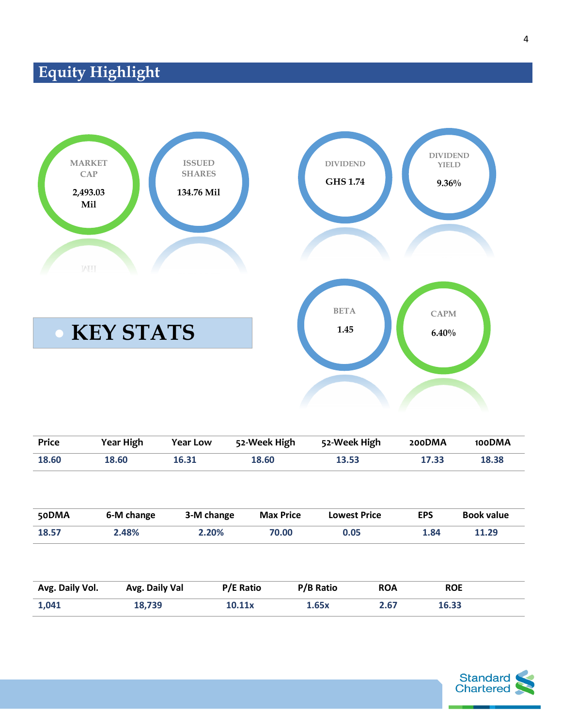# **Equity Highlight**



| <b>Price</b>    | <b>Year High</b> | <b>Year Low</b> | 52-Week High     |           | 52-Week High        | 200DMA     | 100DMA            |
|-----------------|------------------|-----------------|------------------|-----------|---------------------|------------|-------------------|
| 18.60           | 18.60            | 16.31           | 18.60            | 13.53     |                     | 17.33      | 18.38             |
| 50DMA           | 6-M change       | 3-M change      | <b>Max Price</b> |           | <b>Lowest Price</b> | <b>EPS</b> | <b>Book value</b> |
| 18.57           | 2.48%            | 2.20%           | 70.00            |           | 0.05                | 1.84       | 11.29             |
| Avg. Daily Vol. | Avg. Daily Val   |                 | <b>P/E Ratio</b> | P/B Ratio | <b>ROA</b>          | <b>ROE</b> |                   |
| 1,041           | 18,739           |                 | 10.11x           | 1.65x     | 2.67                | 16.33      |                   |

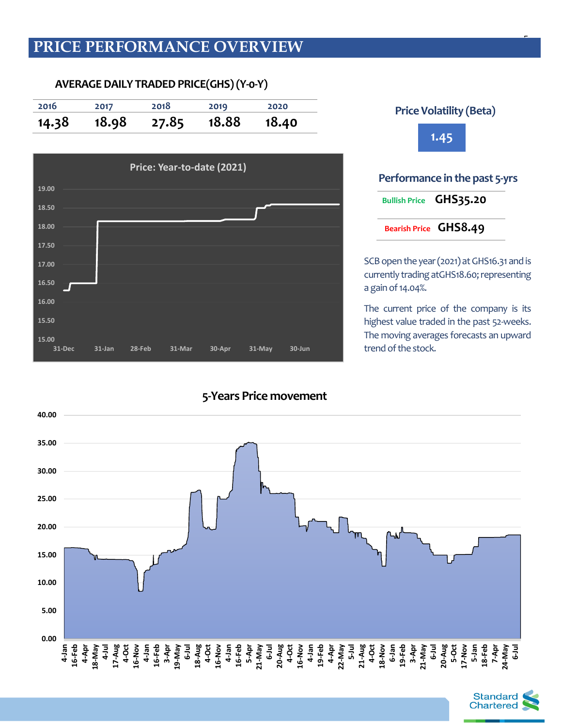# **PRICE PERFORMANCE OVERVIEW**

**AVERAGE DAILY TRADEDPRICE(GHS)(Y-0-Y)**

**2016 2017 2018 2019 2020 14.38 18.98 27.85 18.88 18.40 Price: Year-to-date (2021)**





5

SCB open the year (2021) at GHS16.31 and is currently trading atGHS18.60; representing a gain of 14.04%.

The current price of the company is its highest value traded in the past 52-weeks. The moving averages forecasts an upward trend of the stock.



### **5-Years Price movement**

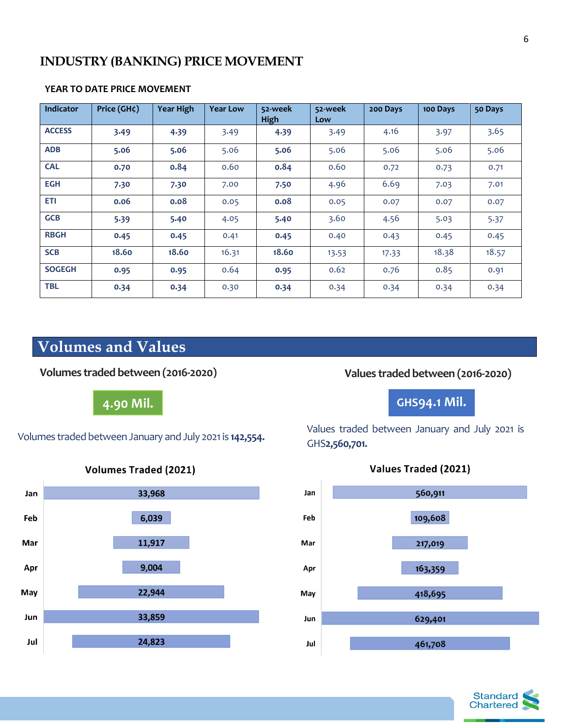## **INDUSTRY (BANKING) PRICE MOVEMENT**

| Indicator     | Price (GH¢) | <b>Year High</b> | <b>Year Low</b> | 52-week<br>High | 52-week<br>Low | 200 Days | 100 Days | 50 Days |
|---------------|-------------|------------------|-----------------|-----------------|----------------|----------|----------|---------|
| <b>ACCESS</b> | 3.49        | 4.39             | 3.49            | 4.39            | 3.49           | 4.16     | 3.97     | 3.65    |
| <b>ADB</b>    | 5.06        | 5.06             | 5.06            | 5.06            | 5.06           | 5.06     | 5.06     | 5.06    |
| <b>CAL</b>    | 0.70        | 0.84             | 0.60            | 0.84            | 0.60           | 0.72     | 0.73     | 0.71    |
| <b>EGH</b>    | 7.30        | 7.30             | 7.00            | 7.50            | 4.96           | 6.69     | 7.03     | 7.01    |
| ETI           | 0.06        | 0.08             | 0.05            | 0.08            | 0.05           | 0.07     | 0.07     | 0.07    |
| <b>GCB</b>    | 5.39        | 5.40             | 4.05            | 5.40            | 3.60           | 4.56     | 5.03     | 5.37    |
| <b>RBGH</b>   | 0.45        | 0.45             | 0.41            | 0.45            | 0.40           | 0.43     | 0.45     | 0.45    |
| <b>SCB</b>    | 18.60       | 18.60            | 16.31           | 18.60           | 13.53          | 17.33    | 18.38    | 18.57   |
| <b>SOGEGH</b> | 0.95        | 0.95             | 0.64            | 0.95            | 0.62           | 0.76     | 0.85     | 0.91    |
| <b>TBL</b>    | 0.34        | 0.34             | 0.30            | 0.34            | 0.34           | 0.34     | 0.34     | 0.34    |

### **YEAR TO DATE PRICE MOVEMENT**

# **Volumes and Values**

**Volumes traded between (2016-2020)**

**4.90 Mil.**

Volumes traded between January and July 2021 is **142,554.**





## **Values traded between (2016-2020)**

# **GHS94.1 Mil.**

Values traded between January and July 2021 is GHS**2,560,701.**





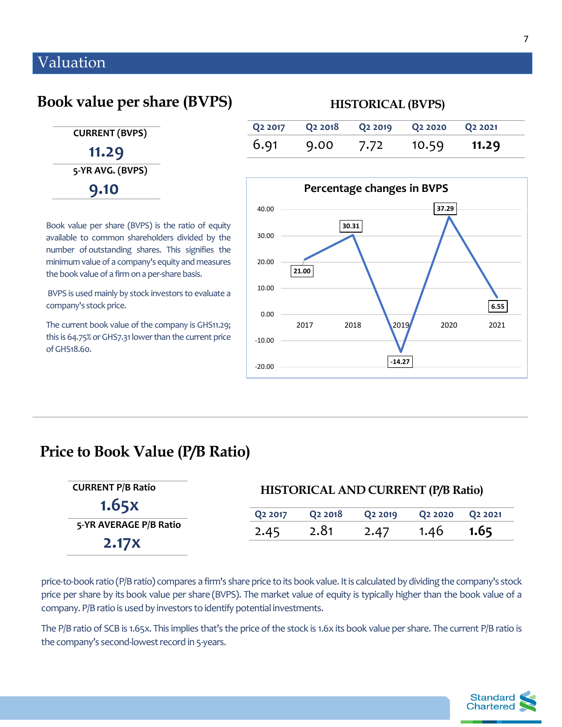# Valuation

# **Book value per share (BVPS)**

 **CURRENT (BVPS) 11.29 5-YR AVG. (BVPS) 9.10**

Book value per share (BVPS) is the ratio of equity available to common shareholders divided by the number of [outstanding shares.](https://www.investopedia.com/terms/o/outstandingshares.asp) This signifies the minimum value of a company's equity and measures the [book value](https://www.investopedia.com/terms/b/bookvalue.asp) of a firm on a per-share basis.

BVPS is used mainly by stock investors to evaluate a company's stock price.

The current book value of the company is GHS11.29; this is 64.75% or GHS7.31lower than the current price of GHS18.60.

# **Q2 2017 Q2 2018 Q2 2019 Q2 2020 Q2 2021** 6.91 9.00 7.72 10.59 **11.29 HISTORICAL (BVPS)**



# **Price to Book Value (P/B Ratio)**

| <b>CURRENT P/B Ratio</b> | <b>HISTORICAL AND CURRENT (P/B Ratio)</b> |                     |                     |                                 |                                 |  |  |
|--------------------------|-------------------------------------------|---------------------|---------------------|---------------------------------|---------------------------------|--|--|
| 1.65X                    | Q <sub>2</sub> 2017                       | Q <sub>2</sub> 2018 | Q <sub>2</sub> 2019 | Q <sub>2</sub> 20 <sub>20</sub> | Q <sub>2</sub> 20 <sub>21</sub> |  |  |
| 5-YR AVERAGE P/B Ratio   | 2.45                                      | 2.81                | 2.47                | 1.46                            | 1.65                            |  |  |
| <b>2.17X</b>             |                                           |                     |                     |                                 |                                 |  |  |

price-to-book ratio (P/B ratio) compares a firm's share price to its book value. It is calculated by dividing the company's stock price per share by its [book value per share](https://www.investopedia.com/terms/b/bookvaluepercommon.asp) (BVPS). The market value of equity is typically higher than the book value of a company. P/B ratio is used by investors to identify potential investments.

The P/B ratio of SCB is 1.65x. This implies that's the price of the stock is 1.6x its book value per share. The current P/B ratio is the company's second-lowest record in 5-years.

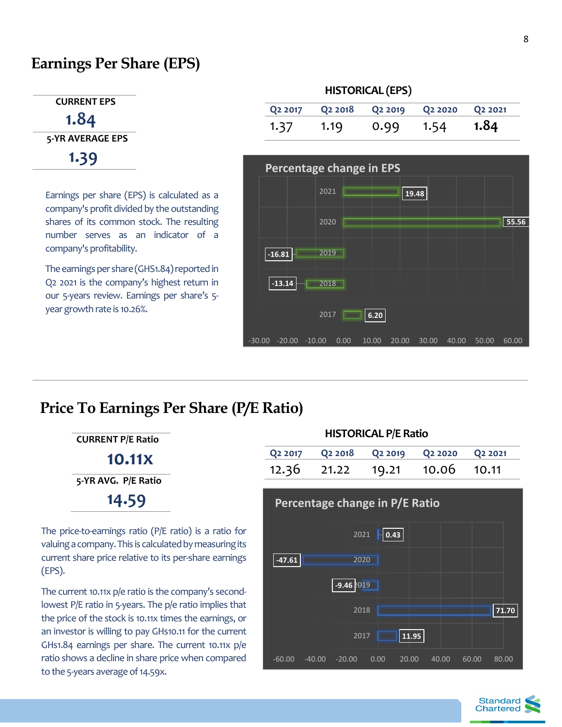# **Earnings Per Share (EPS)**

### **CURRENT EPS**

 **1.84 5-YR AVERAGE EPS 1.39**

Earnings per share (EPS) is calculated as a company's profit divided by the outstanding shares of its common stock. The resulting number serves as an indicator of a company's profitability.

The earnings per share (GHS1.84) reported in Q2 2021 is the company's highest return in our 5-years review. Earnings per share's 5 year growth rate is 10.26%.

# **HISTORICAL (EPS)**

|      |      |      | Q2 2017 Q2 2018 Q2 2019 Q2 2020 Q2 2021 |      |
|------|------|------|-----------------------------------------|------|
| 1.37 | 1.19 | 0.99 | 1.54                                    | 1.84 |



# **Price To Earnings Per Share (P/E Ratio)**

**CURRENT P/E Ratio 10.11x 5-YR AVG. P/E Ratio 14.59**

The price-to-earnings ratio (P/E ratio) is a ratio for valuing a company. This is calculated by measuring its current share price relative to its per-share earnings [\(EPS\)](https://www.investopedia.com/terms/e/eps.asp).

The current 10.11x p/e ratio is the company's secondlowest P/E ratio in 5-years. The p/e ratio implies that the price of the stock is 10.11x times the earnings, or an investor is willing to pay GHs10.11 for the current GHs1.84 earnings per share. The current 10.11x p/e ratio shows a decline in share price when compared to the 5-years average of 14.59x.

### **HISTORICAL P/E Ratio**

|  | Q2 2017 Q2 2018 Q2 2019 Q2 2020 Q2 2021 |  |
|--|-----------------------------------------|--|
|  | 12.36 21.22 19.21 10.06 10.11           |  |

# **11.95 71.70 -9.46** 2019 **-47.61**  $- 0.43$ -60.00 -40.00 -20.00 0.00 20.00 40.00 60.00 80.00 2017 2018 2020 2021 **Percentage change in P/E Ratio**

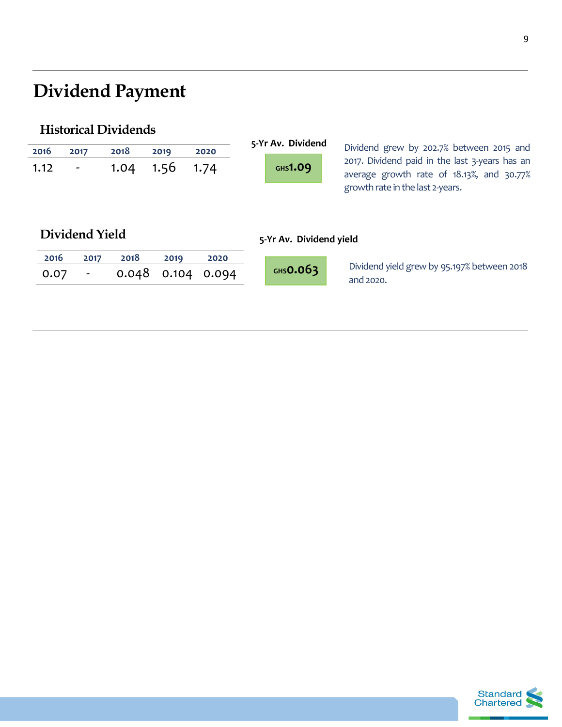# **Dividend Payment**

# **Historical Dividends**

| 2016<br>1.12 | 2017<br>-                | 2018<br>1.04 | 2019<br>1.56 | 2020<br>1.74 | 5-Yr Av. Dividend<br>GHS1.09 | Dividend grew by 202.7% between 2015 and<br>2017. Dividend paid in the last 3-years has an<br>average growth rate of 18.13%, and 30.77%<br>growth rate in the last 2-years. |
|--------------|--------------------------|--------------|--------------|--------------|------------------------------|-----------------------------------------------------------------------------------------------------------------------------------------------------------------------------|
|              | Dividend Yield           |              |              |              | 5-Yr Av. Dividend yield      |                                                                                                                                                                             |
| 2016         | 2017                     | 2018         | 2019         | 2020         |                              |                                                                                                                                                                             |
| 0.07         | $\overline{\phantom{a}}$ | 0.048        | 0.104        | 0.094        | $GHS$ 0.063                  | Dividend yield grew by 95.197% between 2018<br>and 2020.                                                                                                                    |

9



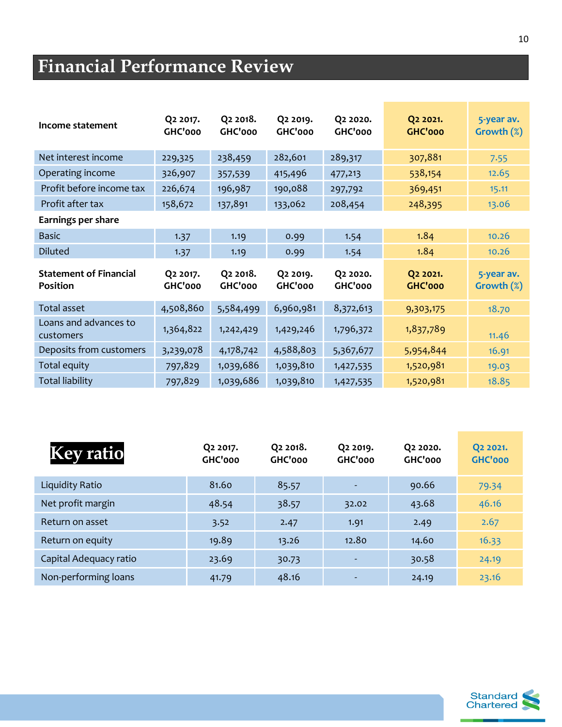# **Financial Performance Review**

| Income statement                                 | Q <sub>2</sub> 2017.<br>GHC'000 | Q2 2018.<br>GHC'000 | Q2 2019.<br>GHC'000 | Q2 2020.<br>GHC'000 | Q2 2021.<br><b>GHC'000</b> | 5-year av.<br>Growth $(\%)$ |
|--------------------------------------------------|---------------------------------|---------------------|---------------------|---------------------|----------------------------|-----------------------------|
| Net interest income                              | 229,325                         | 238,459             | 282,601             | 289,317             | 307,881                    | 7.55                        |
| Operating income                                 | 326,907                         | 357,539             | 415,496             | 477,213             | 538,154                    | 12.65                       |
| Profit before income tax                         | 226,674                         | 196,987             | 190,088             | 297,792             | 369,451                    | 15.11                       |
| Profit after tax                                 | 158,672                         | 137,891             | 133,062             | 208,454             | 248,395                    | 13.06                       |
| Earnings per share                               |                                 |                     |                     |                     |                            |                             |
| <b>Basic</b>                                     | 1.37                            | 1.19                | 0.99                | 1.54                | 1.84                       | 10.26                       |
| <b>Diluted</b>                                   | 1.37                            | 1.19                | 0.99                | 1.54                | 1.84                       | 10.26                       |
| <b>Statement of Financial</b><br><b>Position</b> | Q2 2017.<br>GHC'000             | Q2 2018.<br>GHC'000 | Q2 2019.<br>GHC'000 | Q2 2020.<br>GHC'000 | Q2 2021.<br>GHC'000        | 5-year av.<br>Growth $(\%)$ |
| Total asset                                      | 4,508,860                       | 5,584,499           | 6,960,981           | 8,372,613           | 9,303,175                  | 18.70                       |
| Loans and advances to<br>customers               | 1,364,822                       | 1,242,429           | 1,429,246           | 1,796,372           | 1,837,789                  | 11.46                       |
| Deposits from customers                          | 3,239,078                       | 4,178,742           | 4,588,803           | 5,367,677           | 5,954,844                  | 16.91                       |
| Total equity                                     | 797,829                         | 1,039,686           | 1,039,810           | 1,427,535           | 1,520,981                  | 19.03                       |
| <b>Total liability</b>                           | 797,829                         | 1,039,686           | 1,039,810           | 1,427,535           | 1,520,981                  | 18.85                       |

| <b>Key ratio</b>       | Q <sub>2</sub> 2017.<br>GHC'000 | Q <sub>2</sub> 2018.<br>GHC'000 | Q <sub>2</sub> 2019.<br>GHC'000 | Q <sub>2</sub> 20 <sub>20</sub> .<br>GHC'000 | Q <sub>2</sub> 20 <sub>21</sub> .<br><b>GHC'000</b> |
|------------------------|---------------------------------|---------------------------------|---------------------------------|----------------------------------------------|-----------------------------------------------------|
| Liquidity Ratio        | 81.60                           | 85.57                           | $\overline{\phantom{a}}$        | 90.66                                        | 79.34                                               |
| Net profit margin      | 48.54                           | 38.57                           | 32.02                           | 43.68                                        | 46.16                                               |
| Return on asset        | 3.52                            | 2.47                            | 1.91                            | 2.49                                         | 2.67                                                |
| Return on equity       | 19.89                           | 13.26                           | 12.80                           | 14.60                                        | 16.33                                               |
| Capital Adequacy ratio | 23.69                           | 30.73                           |                                 | 30.58                                        | 24.19                                               |
| Non-performing loans   | 41.79                           | 48.16                           |                                 | 24.19                                        | 23.16                                               |

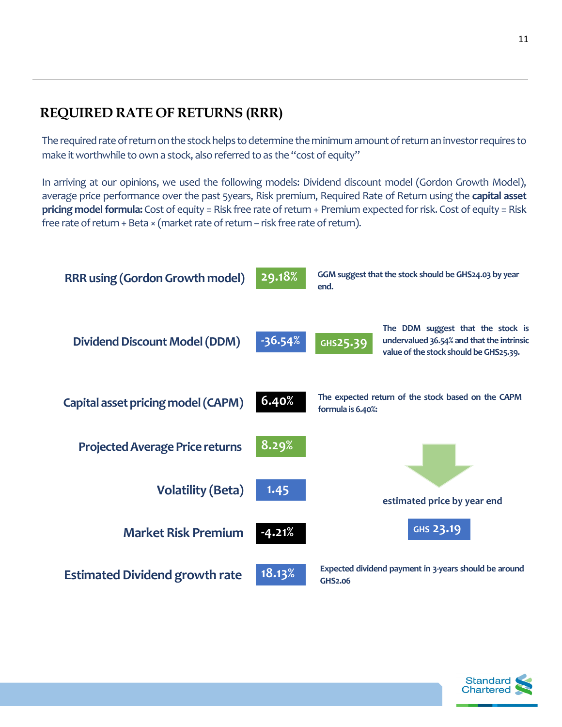# **REQUIRED RATE OF RETURNS (RRR)**

The required rate of return on the stock helps to determine the minimum amount of return an investor requires to make it worthwhile to own a stock, also referred to as the "cost of equity"

In arriving at our opinions, we used the following models: Dividend discount model (Gordon Growth Model), average price performance over the past 5years, Risk premium, Required Rate of Return using the **capital asset pricing model formula:** Cost of equity = Risk free rate of return + Premium expected for risk. Cost of equity = Risk free rate of return + Beta × (market rate of return – risk free rate of return).



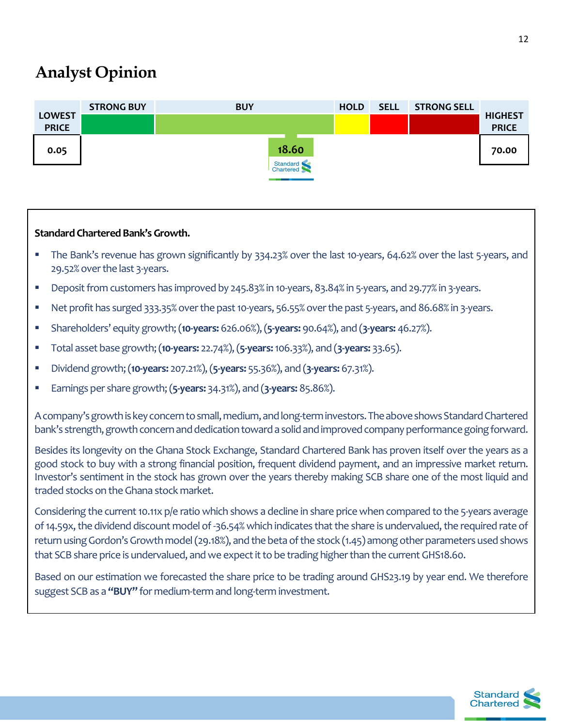# **Analyst Opinion**

|                               | <b>STRONG BUY</b> | <b>BUY</b> |                       | <b>HOLD</b> | <b>SELL</b> | <b>STRONG SELL</b> |                                |
|-------------------------------|-------------------|------------|-----------------------|-------------|-------------|--------------------|--------------------------------|
| <b>LOWEST</b><br><b>PRICE</b> |                   |            |                       |             |             |                    | <b>HIGHEST</b><br><b>PRICE</b> |
| 0.05                          |                   |            | 18.60                 |             |             |                    | 70.00                          |
|                               |                   |            | Standard<br>Chartered |             |             |                    |                                |

### **Standard Chartered Bank's Growth.**

- The Bank's revenue has grown significantly by 334.23% over the last 10-years, 64.62% over the last 5-years, and 29.52% over the last 3-years.
- Deposit from customers has improved by 245.83% in 10-years, 83.84% in 5-years, and 29.77% in 3-years.
- Net profit has surged 333.35% over the past 10-years, 56.55% over the past 5-years, and 86.68% in 3-years.
- Shareholders' equity growth; (**10-years:** 626.06%), (**5-years:** 90.64%), and (**3-years:** 46.27%).
- Total asset base growth; (**10-years:** 22.74%), (**5-years:**106.33%), and (**3-years:** 33.65).
- Dividend growth;(**10-years:** 207.21%), (**5-years:** 55.36%), and (**3-years:** 67.31%).
- Earnings per share growth; (**5-years:** 34.31%), and (**3-years:** 85.86%).

A company's growth is key concern to small, medium, and long-term investors. The above shows Standard Chartered bank's strength, growth concern and dedication toward a solid and improved company performance going forward.

Besides its longevity on the Ghana Stock Exchange, Standard Chartered Bank has proven itself over the years as a good stock to buy with a strong financial position, frequent dividend payment, and an impressive market return. Investor's sentiment in the stock has grown over the years thereby making SCB share one of the most liquid and traded stocks on the Ghana stock market.

Considering the current 10.11x p/e ratio which shows a decline in share price when compared to the 5-years average of 14.59x, the dividend discount model of -36.54% which indicates that the share is undervalued, the required rate of return using Gordon's Growth model (29.18%), and the beta of the stock (1.45) among other parameters used shows that SCB share price is undervalued, and we expect it to be trading higher than the current GHS18.60.

Based on our estimation we forecasted the share price to be trading around GHS23.19 by year end. We therefore suggest SCB as a **"BUY"** for medium-term and long-term investment.

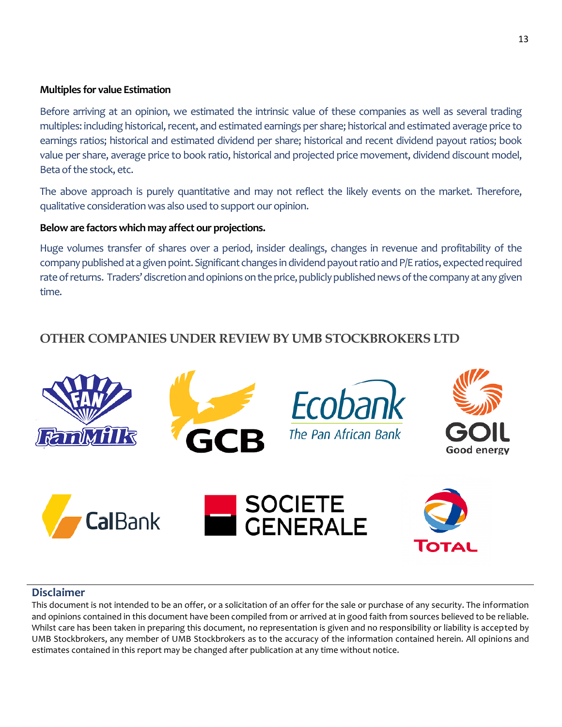### **Multiples for value Estimation**

Before arriving at an opinion, we estimated the intrinsic value of these companies as well as several trading multiples: including historical, recent, and estimated earnings per share; historical and estimated average price to earnings ratios; historical and estimated dividend per share; historical and recent dividend payout ratios; book value per share, average price to book ratio, historical and projected price movement, dividend discount model, Beta of the stock, etc.

The above approach is purely quantitative and may not reflect the likely events on the market. Therefore, qualitative consideration was also used to support our opinion.

### **Below are factors which may affect our projections.**

Huge volumes transfer of shares over a period, insider dealings, changes in revenue and profitability of the company published at a given point. Significant changes in dividend payout ratioandP/E ratios, expected required rate of returns. Traders' discretion and opinions on the price, publicly published news of the company at any given time.

# **OTHER COMPANIES UNDER REVIEW BY UMB STOCKBROKERS LTD**



### **Disclaimer**

This document is not intended to be an offer, or a solicitation of an offer for the sale or purchase of any security. The information and opinions contained in this document have been compiled from or arrived at in good faith from sources believed to be reliable. Whilst care has been taken in preparing this document, no representation is given and no responsibility or liability is accepted by UMB Stockbrokers, any member of UMB Stockbrokers as to the accuracy of the information contained herein. All opinions and estimates contained in this report may be changed after publication at any time without notice.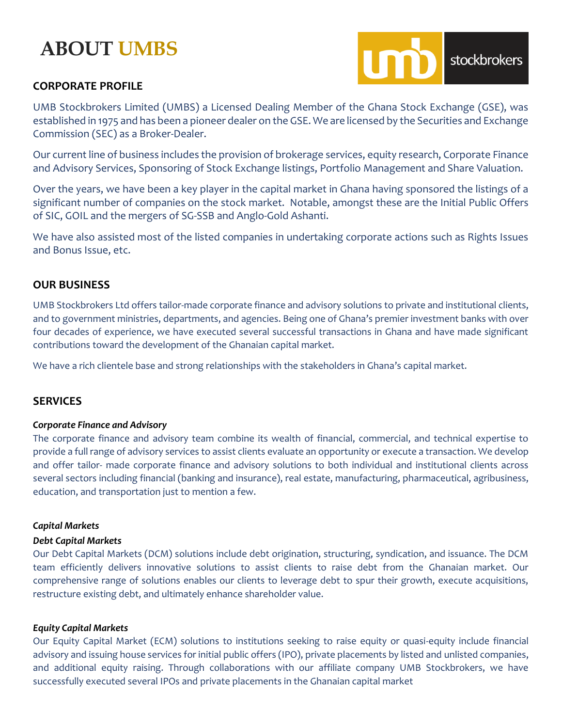# **ABOUT UMBS**

### **CORPORATE PROFILE**



UMB Stockbrokers Limited (UMBS) a Licensed Dealing Member of the Ghana Stock Exchange (GSE), was established in 1975 and has been a pioneer dealer on the GSE. We are licensed by the Securities and Exchange Commission (SEC) as a Broker-Dealer.

Our current line of business includes the provision of brokerage services, equity research, Corporate Finance and Advisory Services, Sponsoring of Stock Exchange listings, Portfolio Management and Share Valuation.

Over the years, we have been a key player in the capital market in Ghana having sponsored the listings of a significant number of companies on the stock market. Notable, amongst these are the Initial Public Offers of SIC, GOIL and the mergers of SG-SSB and Anglo-Gold Ashanti.

We have also assisted most of the listed companies in undertaking corporate actions such as Rights Issues and Bonus Issue, etc.

### **OUR BUSINESS**

UMB Stockbrokers Ltd offers tailor-made corporate finance and advisory solutions to private and institutional clients, and to government ministries, departments, and agencies. Being one of Ghana's premier investment banks with over four decades of experience, we have executed several successful transactions in Ghana and have made significant contributions toward the development of the Ghanaian capital market.

We have a rich clientele base and strong relationships with the stakeholders in Ghana's capital market.

### **SERVICES**

### *Corporate Finance and Advisory*

The corporate finance and advisory team combine its wealth of financial, commercial, and technical expertise to provide a full range of advisory services to assist clients evaluate an opportunity or execute a transaction. We develop and offer tailor- made corporate finance and advisory solutions to both individual and institutional clients across several sectors including financial (banking and insurance), real estate, manufacturing, pharmaceutical, agribusiness, education, and transportation just to mention a few.

### *Capital Markets*

### *Debt Capital Markets*

Our Debt Capital Markets (DCM) solutions include debt origination, structuring, syndication, and issuance. The DCM team efficiently delivers innovative solutions to assist clients to raise debt from the Ghanaian market. Our comprehensive range of solutions enables our clients to leverage debt to spur their growth, execute acquisitions, restructure existing debt, and ultimately enhance shareholder value.

### *Equity Capital Markets*

Our Equity Capital Market (ECM) solutions to institutions seeking to raise equity or quasi-equity include financial advisory and issuing house services for initial public offers (IPO), private placements by listed and unlisted companies, and additional equity raising. Through collaborations with our affiliate company UMB Stockbrokers, we have successfully executed several IPOs and private placements in the Ghanaian capital market